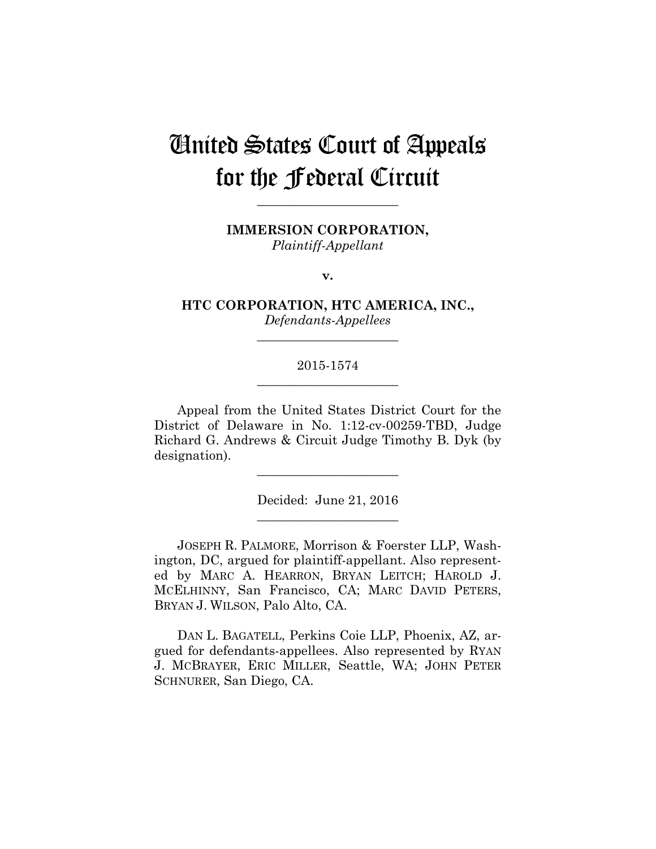# United States Court of Appeals for the Federal Circuit

**IMMERSION CORPORATION,** *Plaintiff-Appellant*

**\_\_\_\_\_\_\_\_\_\_\_\_\_\_\_\_\_\_\_\_\_\_** 

**v.**

**HTC CORPORATION, HTC AMERICA, INC.,** *Defendants-Appellees*

**\_\_\_\_\_\_\_\_\_\_\_\_\_\_\_\_\_\_\_\_\_\_** 

## 2015-1574 **\_\_\_\_\_\_\_\_\_\_\_\_\_\_\_\_\_\_\_\_\_\_**

Appeal from the United States District Court for the District of Delaware in No. 1:12-cv-00259-TBD, Judge Richard G. Andrews & Circuit Judge Timothy B. Dyk (by designation).

> Decided: June 21, 2016 **\_\_\_\_\_\_\_\_\_\_\_\_\_\_\_\_\_\_\_\_\_\_**

**\_\_\_\_\_\_\_\_\_\_\_\_\_\_\_\_\_\_\_\_\_\_** 

JOSEPH R. PALMORE, Morrison & Foerster LLP, Washington, DC, argued for plaintiff-appellant. Also represented by MARC A. HEARRON, BRYAN LEITCH; HAROLD J. MCELHINNY, San Francisco, CA; MARC DAVID PETERS, BRYAN J. WILSON, Palo Alto, CA.

DAN L. BAGATELL, Perkins Coie LLP, Phoenix, AZ, argued for defendants-appellees. Also represented by RYAN J. MCBRAYER, ERIC MILLER, Seattle, WA; JOHN PETER SCHNURER, San Diego, CA.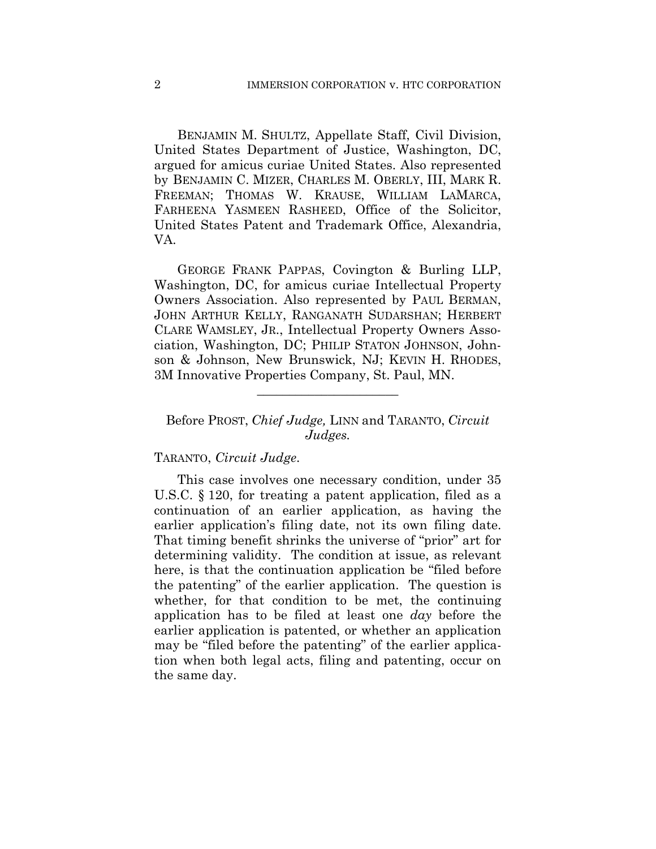BENJAMIN M. SHULTZ, Appellate Staff, Civil Division, United States Department of Justice, Washington, DC, argued for amicus curiae United States. Also represented by BENJAMIN C. MIZER, CHARLES M. OBERLY, III, MARK R. FREEMAN; THOMAS W. KRAUSE, WILLIAM LAMARCA, FARHEENA YASMEEN RASHEED, Office of the Solicitor, United States Patent and Trademark Office, Alexandria, VA.

GEORGE FRANK PAPPAS, Covington & Burling LLP, Washington, DC, for amicus curiae Intellectual Property Owners Association. Also represented by PAUL BERMAN, JOHN ARTHUR KELLY, RANGANATH SUDARSHAN; HERBERT CLARE WAMSLEY, JR., Intellectual Property Owners Association, Washington, DC; PHILIP STATON JOHNSON, Johnson & Johnson, New Brunswick, NJ; KEVIN H. RHODES, 3M Innovative Properties Company, St. Paul, MN.

### Before PROST, *Chief Judge,* LINN and TARANTO, *Circuit Judges.*

**\_\_\_\_\_\_\_\_\_\_\_\_\_\_\_\_\_\_\_\_\_\_** 

#### TARANTO, *Circuit Judge*.

This case involves one necessary condition, under 35 U.S.C. § 120, for treating a patent application, filed as a continuation of an earlier application, as having the earlier application's filing date, not its own filing date. That timing benefit shrinks the universe of "prior" art for determining validity. The condition at issue, as relevant here, is that the continuation application be "filed before the patenting" of the earlier application. The question is whether, for that condition to be met, the continuing application has to be filed at least one *day* before the earlier application is patented, or whether an application may be "filed before the patenting" of the earlier application when both legal acts, filing and patenting, occur on the same day.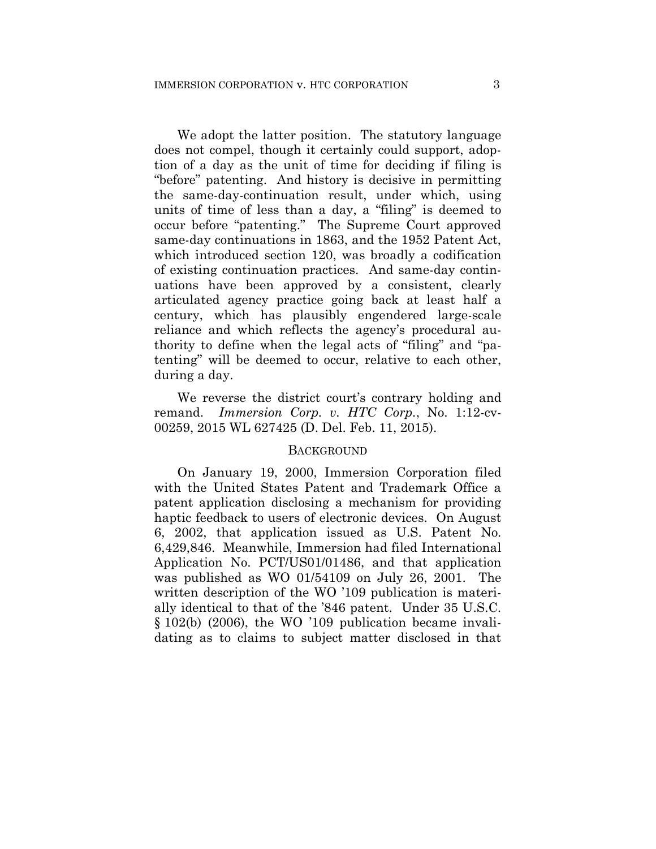We adopt the latter position. The statutory language does not compel, though it certainly could support, adoption of a day as the unit of time for deciding if filing is "before" patenting. And history is decisive in permitting the same-day-continuation result, under which, using units of time of less than a day, a "filing" is deemed to occur before "patenting." The Supreme Court approved same-day continuations in 1863, and the 1952 Patent Act, which introduced section 120, was broadly a codification of existing continuation practices. And same-day continuations have been approved by a consistent, clearly articulated agency practice going back at least half a century, which has plausibly engendered large-scale reliance and which reflects the agency's procedural authority to define when the legal acts of "filing" and "patenting" will be deemed to occur, relative to each other, during a day.

We reverse the district court's contrary holding and remand. *Immersion Corp. v. HTC Corp.*, No. 1:12-cv-00259, 2015 WL 627425 (D. Del. Feb. 11, 2015).

#### **BACKGROUND**

On January 19, 2000, Immersion Corporation filed with the United States Patent and Trademark Office a patent application disclosing a mechanism for providing haptic feedback to users of electronic devices. On August 6, 2002, that application issued as U.S. Patent No. 6,429,846. Meanwhile, Immersion had filed International Application No. PCT/US01/01486, and that application was published as WO 01/54109 on July 26, 2001. The written description of the WO '109 publication is materially identical to that of the '846 patent. Under 35 U.S.C. § 102(b) (2006), the WO '109 publication became invalidating as to claims to subject matter disclosed in that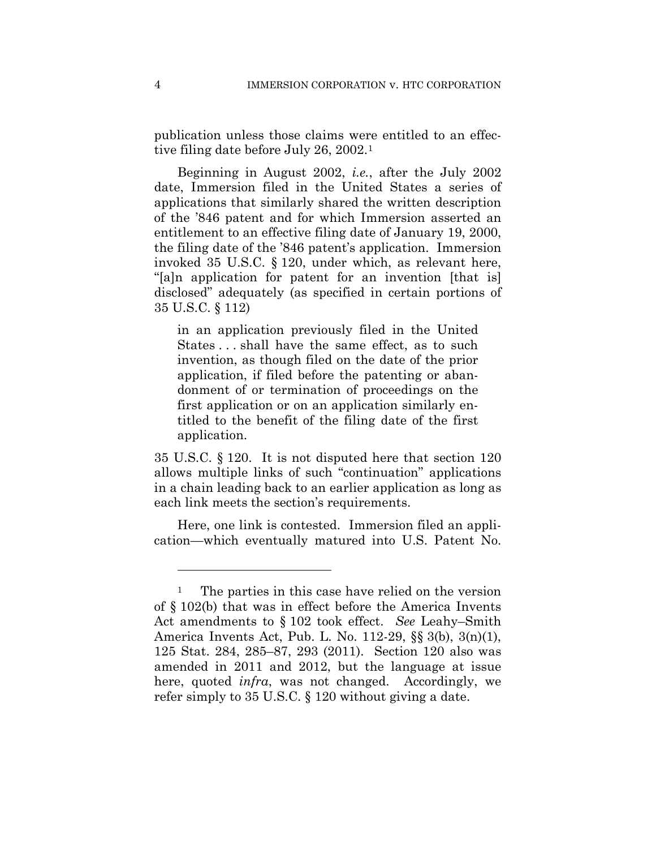publication unless those claims were entitled to an effective filing date before July 26, 2002.1

Beginning in August 2002, *i.e.*, after the July 2002 date, Immersion filed in the United States a series of applications that similarly shared the written description of the '846 patent and for which Immersion asserted an entitlement to an effective filing date of January 19, 2000, the filing date of the '846 patent's application. Immersion invoked 35 U.S.C. § 120, under which, as relevant here, "[a]n application for patent for an invention [that is] disclosed" adequately (as specified in certain portions of 35 U.S.C. § 112)

in an application previously filed in the United States . . . shall have the same effect, as to such invention, as though filed on the date of the prior application, if filed before the patenting or abandonment of or termination of proceedings on the first application or on an application similarly entitled to the benefit of the filing date of the first application.

35 U.S.C. § 120. It is not disputed here that section 120 allows multiple links of such "continuation" applications in a chain leading back to an earlier application as long as each link meets the section's requirements.

Here, one link is contested. Immersion filed an application—which eventually matured into U.S. Patent No.

1

<sup>&</sup>lt;sup>1</sup> The parties in this case have relied on the version of § 102(b) that was in effect before the America Invents Act amendments to § 102 took effect. *See* Leahy–Smith America Invents Act, Pub. L. No. 112-29, §§ 3(b), 3(n)(1), 125 Stat. 284, 285–87, 293 (2011). Section 120 also was amended in 2011 and 2012, but the language at issue here, quoted *infra*, was not changed. Accordingly, we refer simply to 35 U.S.C. § 120 without giving a date.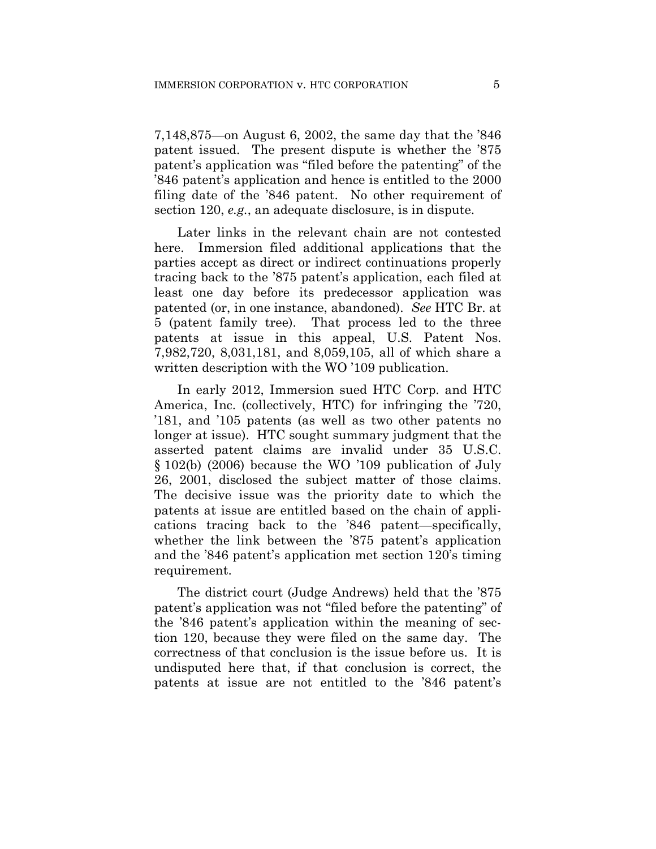7,148,875—on August 6, 2002, the same day that the '846 patent issued. The present dispute is whether the '875 patent's application was "filed before the patenting" of the '846 patent's application and hence is entitled to the 2000 filing date of the '846 patent. No other requirement of section 120, *e.g.*, an adequate disclosure, is in dispute.

Later links in the relevant chain are not contested here. Immersion filed additional applications that the parties accept as direct or indirect continuations properly tracing back to the '875 patent's application, each filed at least one day before its predecessor application was patented (or, in one instance, abandoned). *See* HTC Br. at 5 (patent family tree). That process led to the three patents at issue in this appeal, U.S. Patent Nos. 7,982,720, 8,031,181, and 8,059,105, all of which share a written description with the WO '109 publication.

In early 2012, Immersion sued HTC Corp. and HTC America, Inc. (collectively, HTC) for infringing the '720, '181, and '105 patents (as well as two other patents no longer at issue). HTC sought summary judgment that the asserted patent claims are invalid under 35 U.S.C. § 102(b) (2006) because the WO '109 publication of July 26, 2001, disclosed the subject matter of those claims. The decisive issue was the priority date to which the patents at issue are entitled based on the chain of applications tracing back to the '846 patent—specifically, whether the link between the '875 patent's application and the '846 patent's application met section 120's timing requirement.

The district court (Judge Andrews) held that the '875 patent's application was not "filed before the patenting" of the '846 patent's application within the meaning of section 120, because they were filed on the same day. The correctness of that conclusion is the issue before us. It is undisputed here that, if that conclusion is correct, the patents at issue are not entitled to the '846 patent's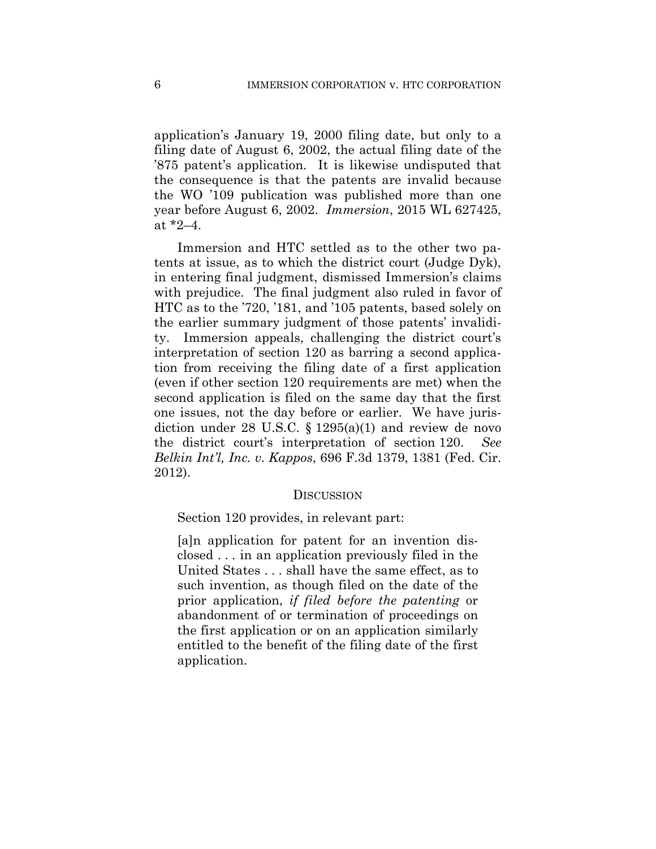application's January 19, 2000 filing date, but only to a filing date of August 6, 2002, the actual filing date of the '875 patent's application. It is likewise undisputed that the consequence is that the patents are invalid because the WO '109 publication was published more than one year before August 6, 2002. *Immersion*, 2015 WL 627425, at \*2–4.

Immersion and HTC settled as to the other two patents at issue, as to which the district court (Judge Dyk), in entering final judgment, dismissed Immersion's claims with prejudice. The final judgment also ruled in favor of HTC as to the '720, '181, and '105 patents, based solely on the earlier summary judgment of those patents' invalidity. Immersion appeals, challenging the district court's interpretation of section 120 as barring a second application from receiving the filing date of a first application (even if other section 120 requirements are met) when the second application is filed on the same day that the first one issues, not the day before or earlier. We have jurisdiction under 28 U.S.C. § 1295(a)(1) and review de novo the district court's interpretation of section 120. *See Belkin Int'l, Inc. v. Kappos*, 696 F.3d 1379, 1381 (Fed. Cir. 2012).

#### **DISCUSSION**

Section 120 provides, in relevant part:

[a]n application for patent for an invention disclosed . . . in an application previously filed in the United States . . . shall have the same effect, as to such invention, as though filed on the date of the prior application, *if filed before the patenting* or abandonment of or termination of proceedings on the first application or on an application similarly entitled to the benefit of the filing date of the first application.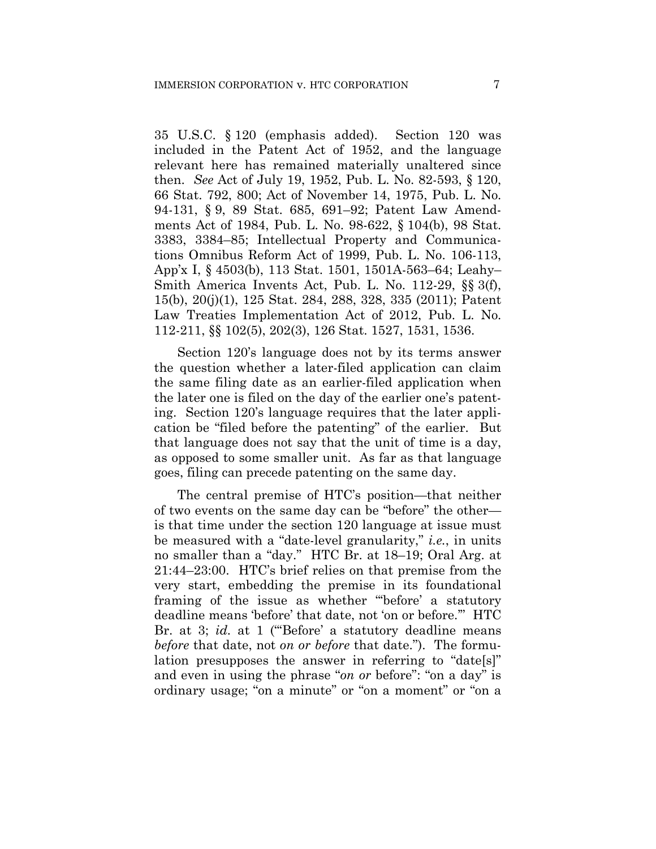35 U.S.C. § 120 (emphasis added). Section 120 was included in the Patent Act of 1952, and the language relevant here has remained materially unaltered since then. *See* Act of July 19, 1952, Pub. L. No. 82-593, § 120, 66 Stat. 792, 800; Act of November 14, 1975, Pub. L. No. 94-131, § 9, 89 Stat. 685, 691–92; Patent Law Amendments Act of 1984, Pub. L. No. 98-622, § 104(b), 98 Stat. 3383, 3384–85; Intellectual Property and Communications Omnibus Reform Act of 1999, Pub. L. No. 106-113, App'x I, § 4503(b), 113 Stat. 1501, 1501A-563–64; Leahy– Smith America Invents Act, Pub. L. No. 112-29, §§ 3(f), 15(b), 20(j)(1), 125 Stat. 284, 288, 328, 335 (2011); Patent Law Treaties Implementation Act of 2012, Pub. L. No. 112-211, §§ 102(5), 202(3), 126 Stat. 1527, 1531, 1536.

Section 120's language does not by its terms answer the question whether a later-filed application can claim the same filing date as an earlier-filed application when the later one is filed on the day of the earlier one's patenting. Section 120's language requires that the later application be "filed before the patenting" of the earlier. But that language does not say that the unit of time is a day, as opposed to some smaller unit. As far as that language goes, filing can precede patenting on the same day.

The central premise of HTC's position—that neither of two events on the same day can be "before" the other is that time under the section 120 language at issue must be measured with a "date-level granularity," *i.e.*, in units no smaller than a "day." HTC Br. at 18–19; Oral Arg. at 21:44–23:00. HTC's brief relies on that premise from the very start, embedding the premise in its foundational framing of the issue as whether "'before' a statutory deadline means 'before' that date, not 'on or before.'" HTC Br. at 3; *id.* at 1 ("Before' a statutory deadline means *before* that date, not *on or before* that date."). The formulation presupposes the answer in referring to "date[s]" and even in using the phrase "*on or* before": "on a day" is ordinary usage; "on a minute" or "on a moment" or "on a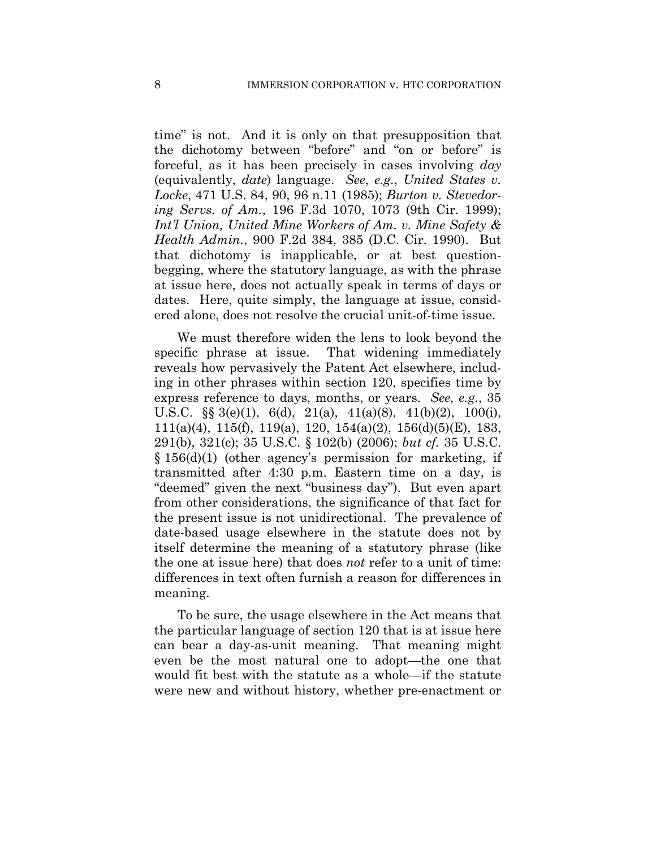time" is not. And it is only on that presupposition that the dichotomy between "before" and "on or before" is forceful, as it has been precisely in cases involving *day*  (equivalently, *date*) language. *See*, *e.g.*, *United States v. Locke*, 471 U.S. 84, 90, 96 n.11 (1985); *Burton v. Stevedoring Servs. of Am.*, 196 F.3d 1070, 1073 (9th Cir. 1999); *Int'l Union, United Mine Workers of Am. v. Mine Safety & Health Admin.*, 900 F.2d 384, 385 (D.C. Cir. 1990). But that dichotomy is inapplicable, or at best questionbegging, where the statutory language, as with the phrase at issue here, does not actually speak in terms of days or dates. Here, quite simply, the language at issue, considered alone, does not resolve the crucial unit-of-time issue.

We must therefore widen the lens to look beyond the specific phrase at issue. That widening immediately reveals how pervasively the Patent Act elsewhere, including in other phrases within section 120, specifies time by express reference to days, months, or years. *See*, *e.g.*, 35 U.S.C.  $\S\S 3(e)(1)$ , 6(d), 21(a), 41(a)(8), 41(b)(2), 100(i), 111(a)(4), 115(f), 119(a), 120, 154(a)(2), 156(d)(5)(E), 183, 291(b), 321(c); 35 U.S.C. § 102(b) (2006); *but cf.* 35 U.S.C. § 156(d)(1) (other agency's permission for marketing, if transmitted after 4:30 p.m. Eastern time on a day, is "deemed" given the next "business day"). But even apart from other considerations, the significance of that fact for the present issue is not unidirectional. The prevalence of date-based usage elsewhere in the statute does not by itself determine the meaning of a statutory phrase (like the one at issue here) that does *not* refer to a unit of time: differences in text often furnish a reason for differences in meaning.

To be sure, the usage elsewhere in the Act means that the particular language of section 120 that is at issue here can bear a day-as-unit meaning. That meaning might even be the most natural one to adopt—the one that would fit best with the statute as a whole—if the statute were new and without history, whether pre-enactment or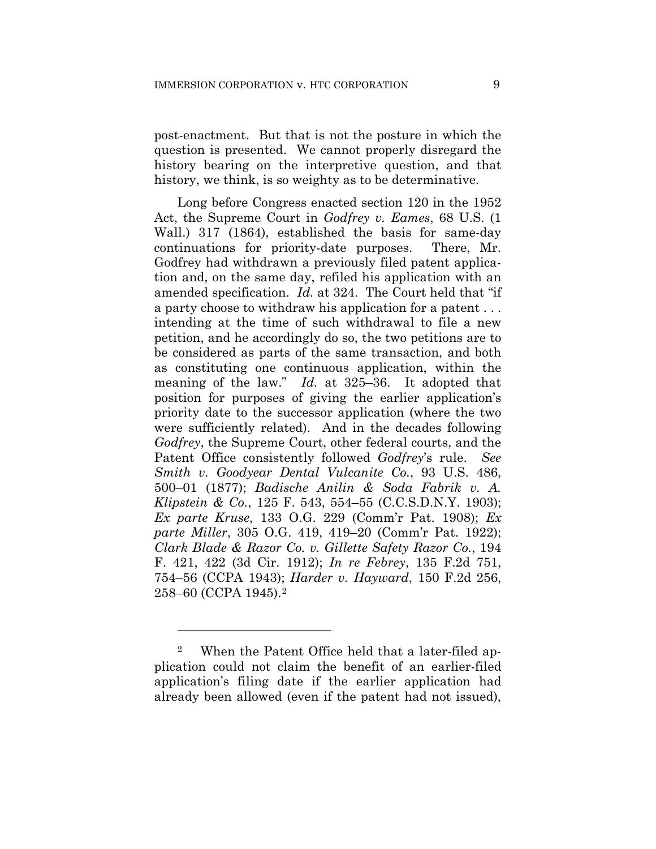post-enactment. But that is not the posture in which the question is presented. We cannot properly disregard the history bearing on the interpretive question, and that history, we think, is so weighty as to be determinative.

Long before Congress enacted section 120 in the 1952 Act, the Supreme Court in *Godfrey v. Eames*, 68 U.S. (1 Wall.) 317 (1864), established the basis for same-day continuations for priority-date purposes. There, Mr. Godfrey had withdrawn a previously filed patent application and, on the same day, refiled his application with an amended specification. *Id.* at 324. The Court held that "if a party choose to withdraw his application for a patent . . . intending at the time of such withdrawal to file a new petition, and he accordingly do so, the two petitions are to be considered as parts of the same transaction, and both as constituting one continuous application, within the meaning of the law." *Id.* at 325–36. It adopted that position for purposes of giving the earlier application's priority date to the successor application (where the two were sufficiently related). And in the decades following *Godfrey*, the Supreme Court, other federal courts, and the Patent Office consistently followed *Godfrey*'s rule. *See Smith v. Goodyear Dental Vulcanite Co.*, 93 U.S. 486, 500–01 (1877); *Badische Anilin & Soda Fabrik v. A. Klipstein & Co.*, 125 F. 543, 554–55 (C.C.S.D.N.Y. 1903); *Ex parte Kruse*, 133 O.G. 229 (Comm'r Pat. 1908); *Ex parte Miller*, 305 O.G. 419, 419–20 (Comm'r Pat. 1922); *Clark Blade & Razor Co. v. Gillette Safety Razor Co.*, 194 F. 421, 422 (3d Cir. 1912); *In re Febrey*, 135 F.2d 751, 754–56 (CCPA 1943); *Harder v. Hayward*, 150 F.2d 256, 258–60 (CCPA 1945).2

<u>.</u>

<sup>2</sup> When the Patent Office held that a later-filed application could not claim the benefit of an earlier-filed application's filing date if the earlier application had already been allowed (even if the patent had not issued),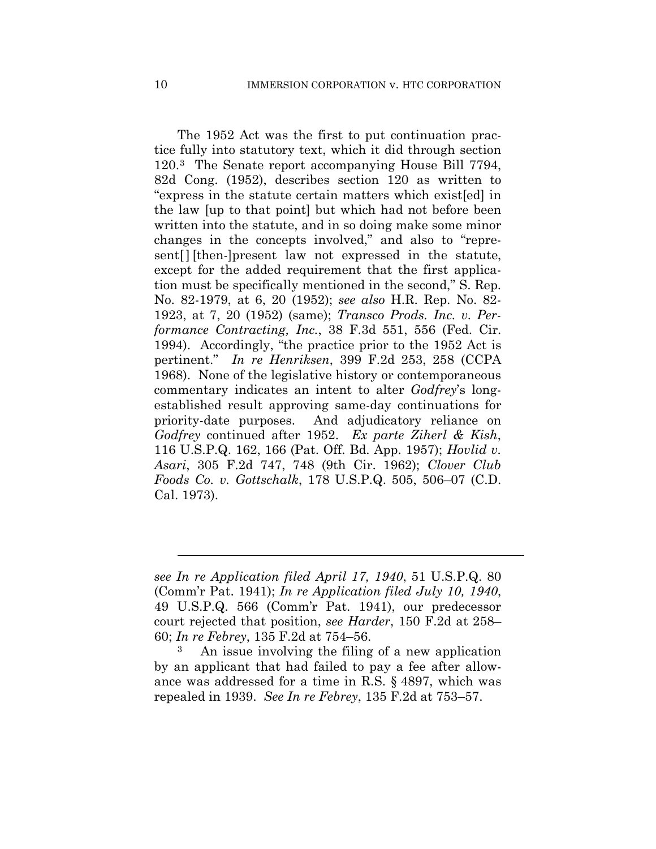The 1952 Act was the first to put continuation practice fully into statutory text, which it did through section 120.3 The Senate report accompanying House Bill 7794, 82d Cong. (1952), describes section 120 as written to "express in the statute certain matters which exist[ed] in the law [up to that point] but which had not before been written into the statute, and in so doing make some minor changes in the concepts involved," and also to "represent[] [then-]present law not expressed in the statute, except for the added requirement that the first application must be specifically mentioned in the second," S. Rep. No. 82-1979, at 6, 20 (1952); *see also* H.R. Rep. No. 82- 1923, at 7, 20 (1952) (same); *Transco Prods. Inc. v. Performance Contracting, Inc.*, 38 F.3d 551, 556 (Fed. Cir. 1994). Accordingly, "the practice prior to the 1952 Act is pertinent." *In re Henriksen*, 399 F.2d 253, 258 (CCPA 1968). None of the legislative history or contemporaneous commentary indicates an intent to alter *Godfrey*'s longestablished result approving same-day continuations for priority-date purposes. And adjudicatory reliance on *Godfrey* continued after 1952. *Ex parte Ziherl & Kish*, 116 U.S.P.Q. 162, 166 (Pat. Off. Bd. App. 1957); *Hovlid v. Asari*, 305 F.2d 747, 748 (9th Cir. 1962); *Clover Club Foods Co. v. Gottschalk*, 178 U.S.P.Q. 505, 506–07 (C.D. Cal. 1973).

l

*see In re Application filed April 17, 1940*, 51 U.S.P.Q. 80 (Comm'r Pat. 1941); *In re Application filed July 10, 1940*, 49 U.S.P.Q. 566 (Comm'r Pat. 1941), our predecessor court rejected that position, *see Harder*, 150 F.2d at 258– 60; *In re Febrey*, 135 F.2d at 754–56.

An issue involving the filing of a new application by an applicant that had failed to pay a fee after allowance was addressed for a time in R.S. § 4897, which was repealed in 1939. *See In re Febrey*, 135 F.2d at 753–57.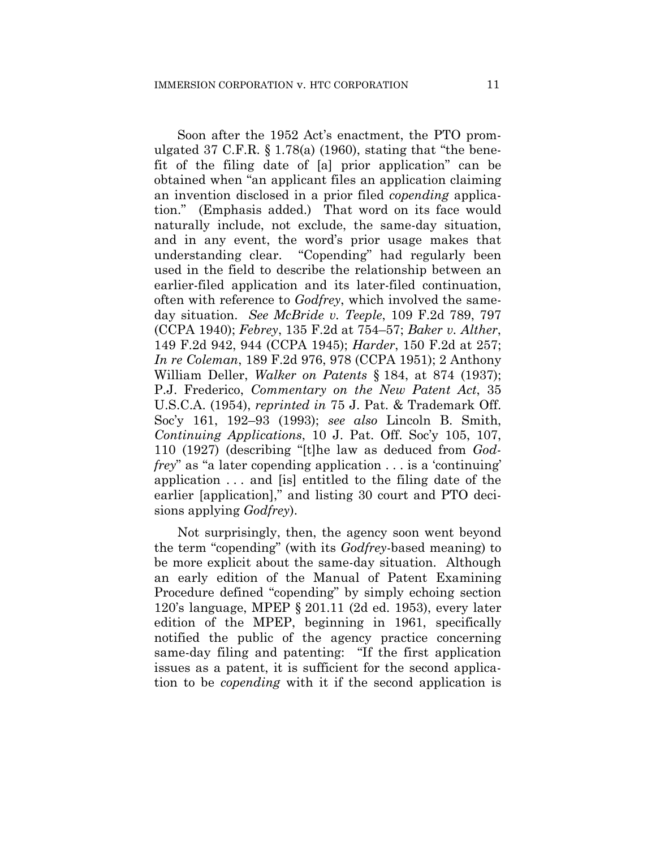Soon after the 1952 Act's enactment, the PTO promulgated 37 C.F.R.  $\S 1.78(a)$  (1960), stating that "the benefit of the filing date of [a] prior application" can be obtained when "an applicant files an application claiming an invention disclosed in a prior filed *copending* application." (Emphasis added.) That word on its face would naturally include, not exclude, the same-day situation, and in any event, the word's prior usage makes that understanding clear. "Copending" had regularly been used in the field to describe the relationship between an earlier-filed application and its later-filed continuation, often with reference to *Godfrey*, which involved the sameday situation. *See McBride v. Teeple*, 109 F.2d 789, 797 (CCPA 1940); *Febrey*, 135 F.2d at 754–57; *Baker v. Alther*, 149 F.2d 942, 944 (CCPA 1945); *Harder*, 150 F.2d at 257; *In re Coleman*, 189 F.2d 976, 978 (CCPA 1951); 2 Anthony William Deller, *Walker on Patents* § 184, at 874 (1937); P.J. Frederico, *Commentary on the New Patent Act*, 35 U.S.C.A. (1954), *reprinted in* 75 J. Pat. & Trademark Off. Soc'y 161, 192–93 (1993); *see also* Lincoln B. Smith, *Continuing Applications*, 10 J. Pat. Off. Soc'y 105, 107, 110 (1927) (describing "[t]he law as deduced from *Godfrey*" as "a later copending application . . . is a 'continuing' application . . . and [is] entitled to the filing date of the earlier [application]," and listing 30 court and PTO decisions applying *Godfrey*).

Not surprisingly, then, the agency soon went beyond the term "copending" (with its *Godfrey*-based meaning) to be more explicit about the same-day situation. Although an early edition of the Manual of Patent Examining Procedure defined "copending" by simply echoing section 120's language, MPEP § 201.11 (2d ed. 1953), every later edition of the MPEP, beginning in 1961, specifically notified the public of the agency practice concerning same-day filing and patenting: "If the first application issues as a patent, it is sufficient for the second application to be *copending* with it if the second application is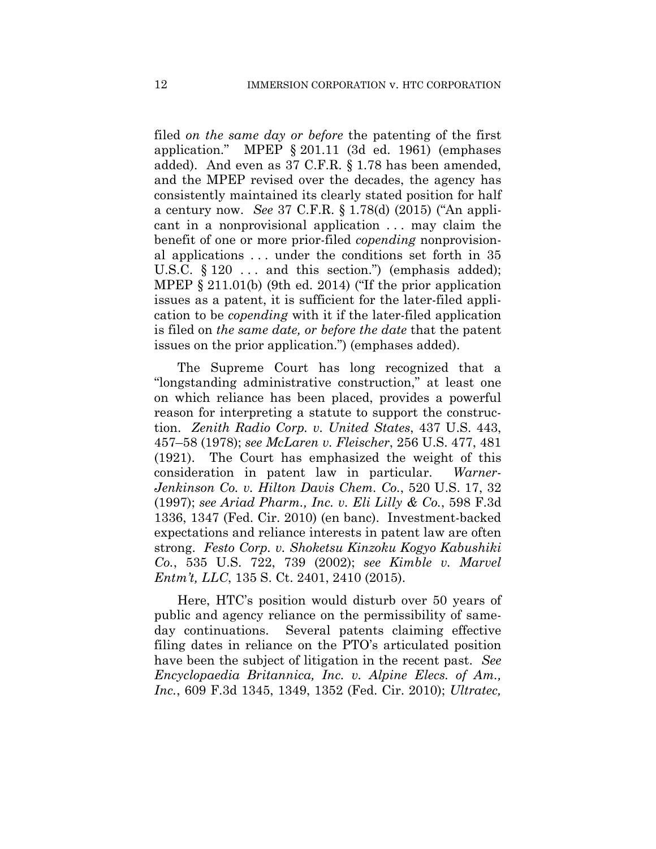filed *on the same day or before* the patenting of the first application." MPEP § 201.11 (3d ed. 1961) (emphases added). And even as 37 C.F.R. § 1.78 has been amended, and the MPEP revised over the decades, the agency has consistently maintained its clearly stated position for half a century now. *See* 37 C.F.R. § 1.78(d) (2015) ("An applicant in a nonprovisional application ... may claim the benefit of one or more prior-filed *copending* nonprovisional applications . . . under the conditions set forth in 35 U.S.C.  $\S 120$  ... and this section.") (emphasis added); MPEP § 211.01(b) (9th ed. 2014) ("If the prior application issues as a patent, it is sufficient for the later-filed application to be *copending* with it if the later-filed application is filed on *the same date, or before the date* that the patent issues on the prior application.") (emphases added).

The Supreme Court has long recognized that a "longstanding administrative construction," at least one on which reliance has been placed, provides a powerful reason for interpreting a statute to support the construction. *Zenith Radio Corp. v. United States*, 437 U.S. 443, 457–58 (1978); *see McLaren v. Fleischer*, 256 U.S. 477, 481 (1921). The Court has emphasized the weight of this consideration in patent law in particular. *Warner-Jenkinson Co. v. Hilton Davis Chem. Co.*, 520 U.S. 17, 32 (1997); *see Ariad Pharm., Inc. v. Eli Lilly & Co.*, 598 F.3d 1336, 1347 (Fed. Cir. 2010) (en banc). Investment-backed expectations and reliance interests in patent law are often strong. *Festo Corp. v. Shoketsu Kinzoku Kogyo Kabushiki Co.*, 535 U.S. 722, 739 (2002); *see Kimble v. Marvel Entm't, LLC*, 135 S. Ct. 2401, 2410 (2015).

Here, HTC's position would disturb over 50 years of public and agency reliance on the permissibility of sameday continuations. Several patents claiming effective filing dates in reliance on the PTO's articulated position have been the subject of litigation in the recent past. *See Encyclopaedia Britannica, Inc. v. Alpine Elecs. of Am., Inc.*, 609 F.3d 1345, 1349, 1352 (Fed. Cir. 2010); *Ultratec,*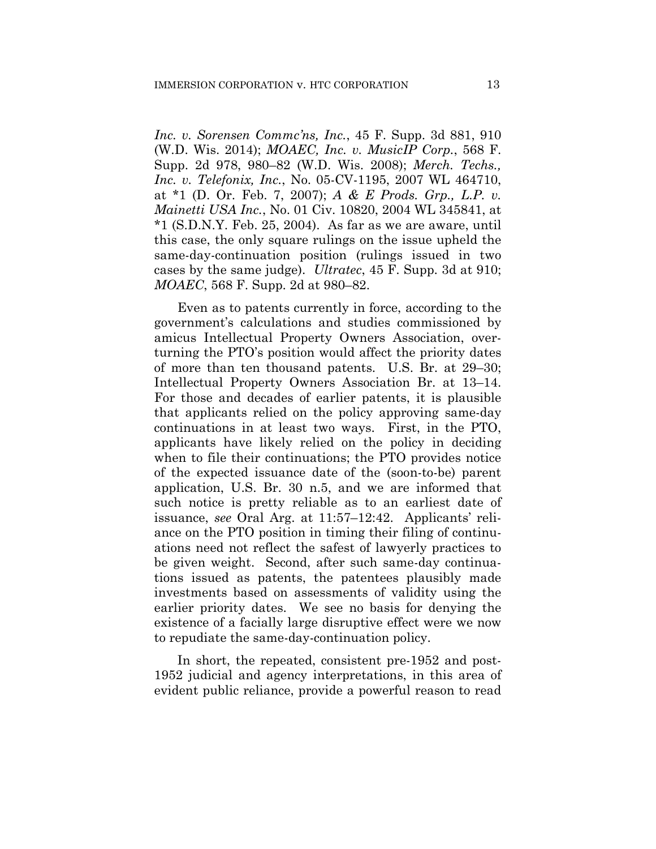*Inc. v. Sorensen Commc'ns, Inc.*, 45 F. Supp. 3d 881, 910 (W.D. Wis. 2014); *MOAEC, Inc. v. MusicIP Corp.*, 568 F. Supp. 2d 978, 980–82 (W.D. Wis. 2008); *Merch. Techs., Inc. v. Telefonix, Inc.*, No. 05-CV-1195, 2007 WL 464710, at \*1 (D. Or. Feb. 7, 2007); *A & E Prods. Grp., L.P. v. Mainetti USA Inc.*, No. 01 Civ. 10820, 2004 WL 345841, at \*1 (S.D.N.Y. Feb. 25, 2004). As far as we are aware, until this case, the only square rulings on the issue upheld the same-day-continuation position (rulings issued in two cases by the same judge). *Ultratec*, 45 F. Supp. 3d at 910; *MOAEC*, 568 F. Supp. 2d at 980–82.

Even as to patents currently in force, according to the government's calculations and studies commissioned by amicus Intellectual Property Owners Association, overturning the PTO's position would affect the priority dates of more than ten thousand patents. U.S. Br. at 29–30; Intellectual Property Owners Association Br. at 13–14. For those and decades of earlier patents, it is plausible that applicants relied on the policy approving same-day continuations in at least two ways. First, in the PTO, applicants have likely relied on the policy in deciding when to file their continuations; the PTO provides notice of the expected issuance date of the (soon-to-be) parent application, U.S. Br. 30 n.5, and we are informed that such notice is pretty reliable as to an earliest date of issuance, *see* Oral Arg. at 11:57–12:42. Applicants' reliance on the PTO position in timing their filing of continuations need not reflect the safest of lawyerly practices to be given weight. Second, after such same-day continuations issued as patents, the patentees plausibly made investments based on assessments of validity using the earlier priority dates. We see no basis for denying the existence of a facially large disruptive effect were we now to repudiate the same-day-continuation policy.

In short, the repeated, consistent pre-1952 and post-1952 judicial and agency interpretations, in this area of evident public reliance, provide a powerful reason to read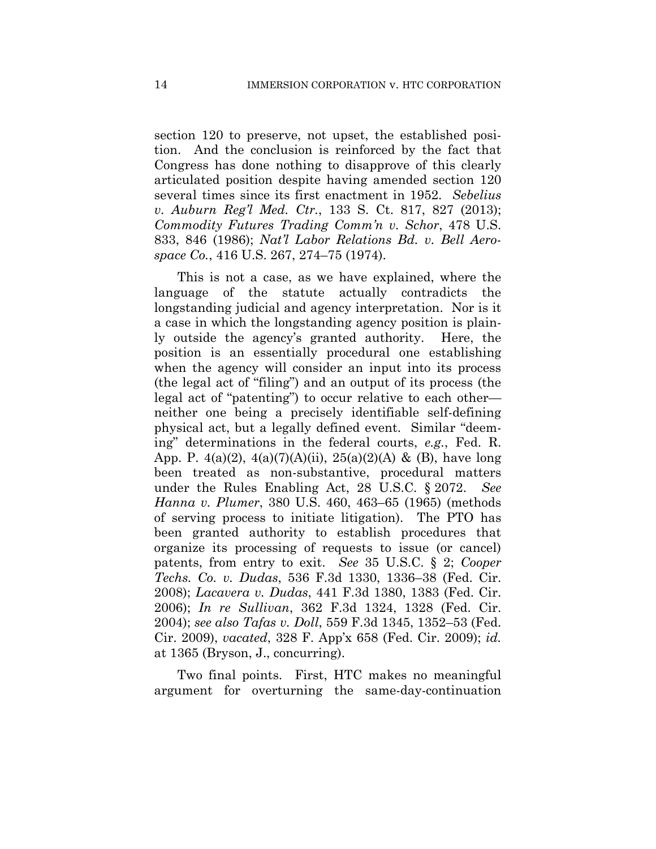section 120 to preserve, not upset, the established position. And the conclusion is reinforced by the fact that Congress has done nothing to disapprove of this clearly articulated position despite having amended section 120 several times since its first enactment in 1952. *Sebelius v. Auburn Reg'l Med. Ctr.*, 133 S. Ct. 817, 827 (2013); *Commodity Futures Trading Comm'n v. Schor*, 478 U.S. 833, 846 (1986); *Nat'l Labor Relations Bd. v. Bell Aerospace Co.*, 416 U.S. 267, 274–75 (1974).

This is not a case, as we have explained, where the language of the statute actually contradicts the longstanding judicial and agency interpretation. Nor is it a case in which the longstanding agency position is plainly outside the agency's granted authority. Here, the position is an essentially procedural one establishing when the agency will consider an input into its process (the legal act of "filing") and an output of its process (the legal act of "patenting") to occur relative to each other neither one being a precisely identifiable self-defining physical act, but a legally defined event. Similar "deeming" determinations in the federal courts, *e.g.*, Fed. R. App. P.  $4(a)(2)$ ,  $4(a)(7)(A)(ii)$ ,  $25(a)(2)(A)$  & (B), have long been treated as non-substantive, procedural matters under the Rules Enabling Act, 28 U.S.C. § 2072. *See Hanna v. Plumer*, 380 U.S. 460, 463–65 (1965) (methods of serving process to initiate litigation). The PTO has been granted authority to establish procedures that organize its processing of requests to issue (or cancel) patents, from entry to exit. *See* 35 U.S.C. § 2; *Cooper Techs. Co. v. Dudas*, 536 F.3d 1330, 1336–38 (Fed. Cir. 2008); *Lacavera v. Dudas*, 441 F.3d 1380, 1383 (Fed. Cir. 2006); *In re Sullivan*, 362 F.3d 1324, 1328 (Fed. Cir. 2004); *see also Tafas v. Doll*, 559 F.3d 1345, 1352–53 (Fed. Cir. 2009), *vacated*, 328 F. App'x 658 (Fed. Cir. 2009); *id.* at 1365 (Bryson, J., concurring).

Two final points. First, HTC makes no meaningful argument for overturning the same-day-continuation